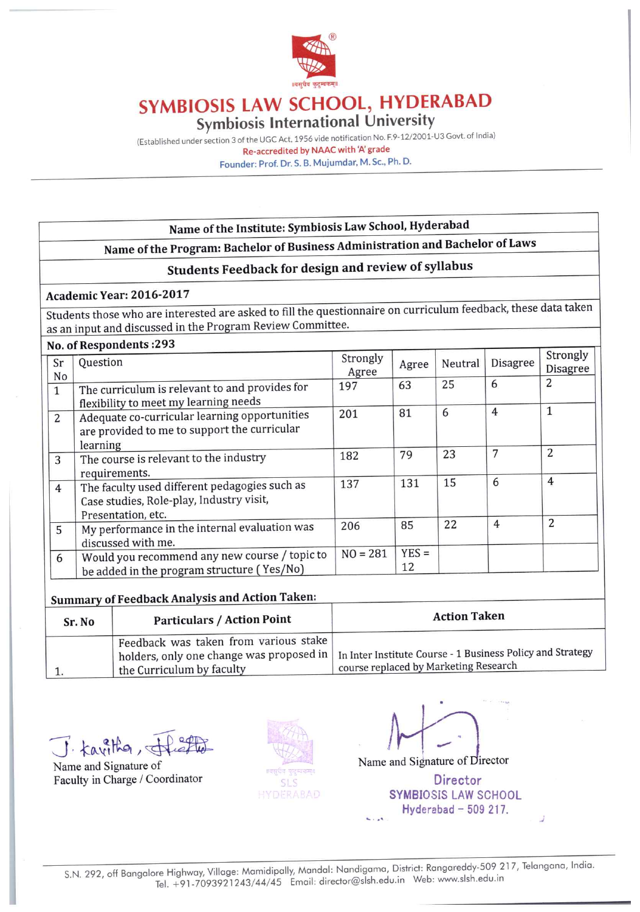

# SYMBIOSIS LAW SCHOOL, HYDERABAD Symbiosis International University

(Established under section 3 of the UGC Act, 1956 vide notification No. F.9-12/2001-U3 Govt. of India) Re-accredited by NAAC with 'A' grade Founder: Prof. Dr. S. B. Mujumdar, M. Sc., Ph. D.

## Name of the Institute: Symbiosis Law School, Hyderabad

# Name of the Program: Bachelor of Business Administration and Bachelor of Laws

## Students Feedback for design and review of syllabus

#### Academic Year: 2016-2017

Students those who are interested are asked to fill the questionnaire on curriculum feedback, these data taken as an input and discussed in the Program Review Committee.

#### No. of Respondents: 293

| <b>NO. Of Respondence is to</b> |                                                                                                                 |                   |               |         |                |                             |
|---------------------------------|-----------------------------------------------------------------------------------------------------------------|-------------------|---------------|---------|----------------|-----------------------------|
| Sr<br>No                        | Question                                                                                                        | Strongly<br>Agree | Agree         | Neutral | Disagree       | Strongly<br><b>Disagree</b> |
| $\mathbf{1}$                    | The curriculum is relevant to and provides for<br>flexibility to meet my learning needs                         | 197               | 63            | 25      | 6              | 2                           |
| 2                               | Adequate co-curricular learning opportunities<br>are provided to me to support the curricular<br>learning       | 201               | 81            | 6       | $\overline{4}$ | 1                           |
| 3                               | The course is relevant to the industry<br>requirements.                                                         | 182               | 79            | 23      | 7              | 2                           |
| $\overline{4}$                  | The faculty used different pedagogies such as<br>Case studies, Role-play, Industry visit,<br>Presentation, etc. | 137               | 131           | 15      | 6              | $\overline{4}$              |
| 5                               | My performance in the internal evaluation was<br>discussed with me.                                             | 206               | 85            | 22      | $\overline{4}$ | 2                           |
| 6                               | Would you recommend any new course / topic to<br>be added in the program structure (Yes/No)                     | $NO = 281$        | $YES =$<br>12 |         |                |                             |

### **Summary of Feedback Analysis and Action Taken:**

| Sr. No | <b>Particulars / Action Point</b>                                  | <b>Action Taken</b>                                                                                                                            |
|--------|--------------------------------------------------------------------|------------------------------------------------------------------------------------------------------------------------------------------------|
|        | Feedback was taken from various stake<br>the Curriculum by faculty | holders, only one change was proposed in   In Inter Institute Course - 1 Business Policy and Strategy<br>course replaced by Marketing Research |

J. Kavitha, d

Name and Signature of Faculty in Charge / Coordinator



Name and Signature of Director

**Director SYMBIOSIS LAW SCHOOL** Hyderabad  $-509217$ .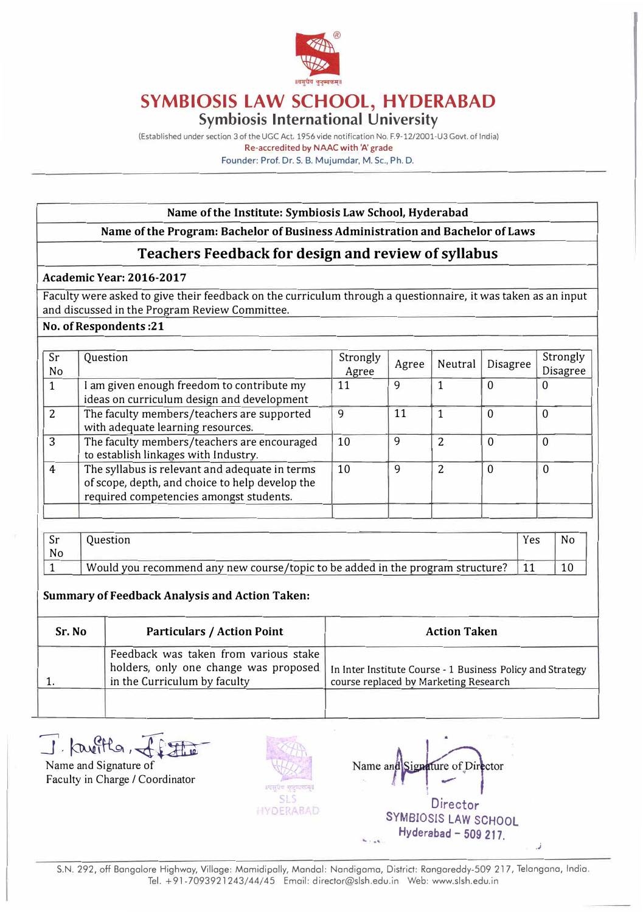

### **SYMBIOSIS LAW SCHOOL, HYDERABAD Symbiosis International University**

(Established under section 3 of the UGC Act, 1956 vide notification No. F.9· 12/2001-U3 Govt. of India) Re-accredited by NAAC with 'A' grade Founder: Prof. Dr. S. B. Mujumdar, M.Sc., Ph.D.

#### **Name of the Institute: Symbiosis Law School, Hyderabad**

### **Name of the Program: Bachelor of Business Administration and Bachelor of Laws**

### **Teachers Feedback for design and review of syllabus**

#### **Academic Year: 2016-2017**

Faculty were asked to give their feedback on the curriculum through a questionnaire, it was taken as an input and discussed in the Program Review Committee.

#### **No. of Respondents :21**

| Sr<br>No       | Question                                                                                                                                     | Strongly<br>Agree | Agree | Neutral        | <b>Disagree</b> | Strongly<br><b>Disagree</b> |
|----------------|----------------------------------------------------------------------------------------------------------------------------------------------|-------------------|-------|----------------|-----------------|-----------------------------|
|                | I am given enough freedom to contribute my<br>ideas on curriculum design and development                                                     | 11                | 9     |                | 0               | $\theta$                    |
| $\overline{2}$ | The faculty members/teachers are supported<br>with adequate learning resources.                                                              | 9                 | 11    |                | $\Omega$        | 0                           |
| 3              | The faculty members/teachers are encouraged<br>to establish linkages with Industry.                                                          | 10                | 9     | 2              | 0               | $\overline{0}$              |
| $\overline{4}$ | The syllabus is relevant and adequate in terms<br>of scope, depth, and choice to help develop the<br>required competencies amongst students. | 10                | 9     | $\overline{2}$ | $\Omega$        | 0                           |
|                |                                                                                                                                              |                   |       |                |                 |                             |

| No |                                                                                | Yes | No. |
|----|--------------------------------------------------------------------------------|-----|-----|
|    | Would you recommend any new course/topic to be added in the program structure? |     |     |

#### **Summary of Feedback Analysis and Action Taken:**

| Sr. No | <b>Particulars / Action Point</b>                                                                              | <b>Action Taken</b>                                                                                 |
|--------|----------------------------------------------------------------------------------------------------------------|-----------------------------------------------------------------------------------------------------|
|        | Feedback was taken from various stake<br>holders, only one change was proposed<br>in the Curriculum by faculty | In Inter Institute Course - 1 Business Policy and Strategy<br>course replaced by Marketing Research |
|        |                                                                                                                |                                                                                                     |

J. Kavitta,

Name and Signature of Faculty in Charge/ Coordinator



Name and ature of Director **Director SYMBIOSIS LAW SCHOOL Hyderabad - 509 217.** 

**.J** 

S.N. 292, off Bongalore Highway, Village: Mamidipally, Mandal: Nandigama, District: Rangareddy-509 217, Telangana, India. Tel. + 9 l -7093921243/ 44/ 45 Email: d irector@slsh.edu.in Web: www.slsh.edu.in